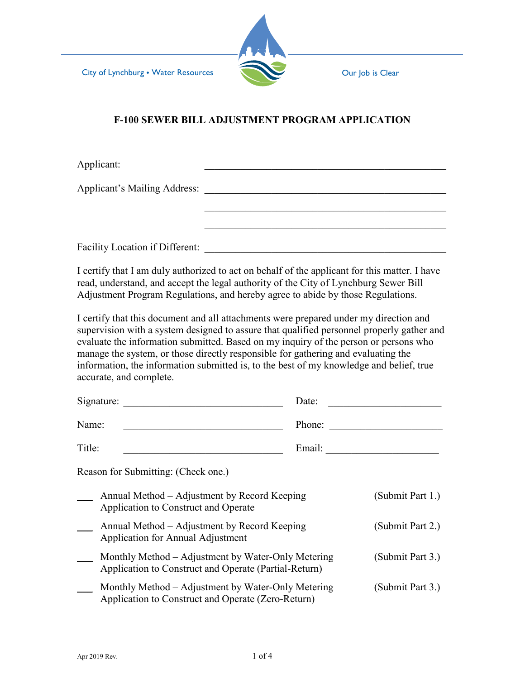

# **F-100 SEWER BILL ADJUSTMENT PROGRAM APPLICATION**

| Applicant:                                                                                                                                                                                                                                                                                                                                                                                                                                                                            |                                                                                                                              |  |                  |  |  |
|---------------------------------------------------------------------------------------------------------------------------------------------------------------------------------------------------------------------------------------------------------------------------------------------------------------------------------------------------------------------------------------------------------------------------------------------------------------------------------------|------------------------------------------------------------------------------------------------------------------------------|--|------------------|--|--|
| <b>Applicant's Mailing Address:</b>                                                                                                                                                                                                                                                                                                                                                                                                                                                   |                                                                                                                              |  |                  |  |  |
|                                                                                                                                                                                                                                                                                                                                                                                                                                                                                       |                                                                                                                              |  |                  |  |  |
|                                                                                                                                                                                                                                                                                                                                                                                                                                                                                       |                                                                                                                              |  |                  |  |  |
|                                                                                                                                                                                                                                                                                                                                                                                                                                                                                       | Facility Location if Different:                                                                                              |  |                  |  |  |
| I certify that I am duly authorized to act on behalf of the applicant for this matter. I have<br>read, understand, and accept the legal authority of the City of Lynchburg Sewer Bill<br>Adjustment Program Regulations, and hereby agree to abide by those Regulations.                                                                                                                                                                                                              |                                                                                                                              |  |                  |  |  |
| I certify that this document and all attachments were prepared under my direction and<br>supervision with a system designed to assure that qualified personnel properly gather and<br>evaluate the information submitted. Based on my inquiry of the person or persons who<br>manage the system, or those directly responsible for gathering and evaluating the<br>information, the information submitted is, to the best of my knowledge and belief, true<br>accurate, and complete. |                                                                                                                              |  |                  |  |  |
| Signature:                                                                                                                                                                                                                                                                                                                                                                                                                                                                            |                                                                                                                              |  | Date:            |  |  |
| Name:                                                                                                                                                                                                                                                                                                                                                                                                                                                                                 |                                                                                                                              |  | Phone:           |  |  |
| Title:                                                                                                                                                                                                                                                                                                                                                                                                                                                                                |                                                                                                                              |  |                  |  |  |
|                                                                                                                                                                                                                                                                                                                                                                                                                                                                                       | Reason for Submitting: (Check one.)                                                                                          |  |                  |  |  |
|                                                                                                                                                                                                                                                                                                                                                                                                                                                                                       | Annual Method - Adjustment by Record Keeping<br>Application to Construct and Operate                                         |  | (Submit Part 1.) |  |  |
|                                                                                                                                                                                                                                                                                                                                                                                                                                                                                       | Annual Method - Adjustment by Record Keeping<br>Application for Annual Adjustment                                            |  | (Submit Part 2.) |  |  |
|                                                                                                                                                                                                                                                                                                                                                                                                                                                                                       | Monthly Method - Adjustment by Water-Only Metering<br>Application to Construct and Operate (Partial-Return)                  |  | (Submit Part 3.) |  |  |
|                                                                                                                                                                                                                                                                                                                                                                                                                                                                                       | Monthly Method - Adjustment by Water-Only Metering<br>(Submit Part 3.)<br>Application to Construct and Operate (Zero-Return) |  |                  |  |  |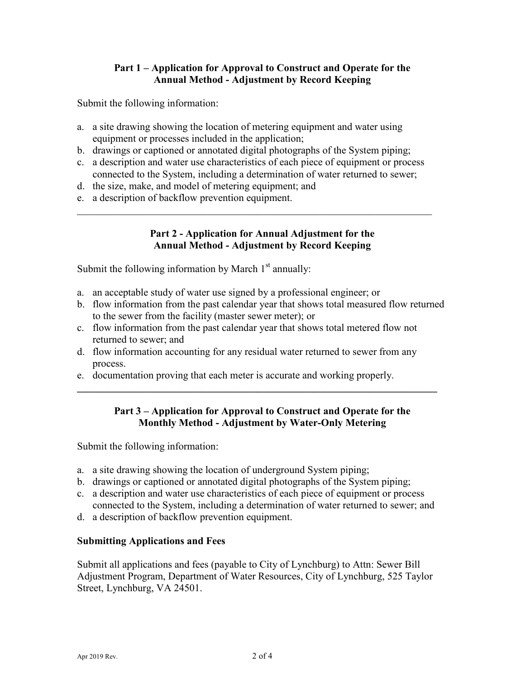# **Part 1 – Application for Approval to Construct and Operate for the Annual Method - Adjustment by Record Keeping**

Submit the following information:

- a. a site drawing showing the location of metering equipment and water using equipment or processes included in the application;
- b. drawings or captioned or annotated digital photographs of the System piping;
- c. a description and water use characteristics of each piece of equipment or process connected to the System, including a determination of water returned to sewer;

\_\_\_\_\_\_\_\_\_\_\_\_\_\_\_\_\_\_\_\_\_\_\_\_\_\_\_\_\_\_\_\_\_\_\_\_\_\_\_\_\_\_\_\_\_\_\_\_\_\_\_\_\_\_\_\_\_\_\_\_\_\_\_\_\_\_\_\_\_

- d. the size, make, and model of metering equipment; and
- e. a description of backflow prevention equipment.

# **Part 2 - Application for Annual Adjustment for the Annual Method - Adjustment by Record Keeping**

Submit the following information by March  $1<sup>st</sup>$  annually:

- a. an acceptable study of water use signed by a professional engineer; or
- b. flow information from the past calendar year that shows total measured flow returned to the sewer from the facility (master sewer meter); or
- c. flow information from the past calendar year that shows total metered flow not returned to sewer; and
- d. flow information accounting for any residual water returned to sewer from any process.
- e. documentation proving that each meter is accurate and working properly.

# **Part 3 – Application for Approval to Construct and Operate for the Monthly Method - Adjustment by Water-Only Metering**

**\_\_\_\_\_\_\_\_\_\_\_\_\_\_\_\_\_\_\_\_\_\_\_\_\_\_\_\_\_\_\_\_\_\_\_\_\_\_\_\_\_\_\_\_\_\_\_\_\_\_\_\_\_\_\_\_\_\_\_\_\_\_\_\_\_\_\_\_\_\_**

Submit the following information:

- a. a site drawing showing the location of underground System piping;
- b. drawings or captioned or annotated digital photographs of the System piping;
- c. a description and water use characteristics of each piece of equipment or process connected to the System, including a determination of water returned to sewer; and
- d. a description of backflow prevention equipment.

### **Submitting Applications and Fees**

Submit all applications and fees (payable to City of Lynchburg) to Attn: Sewer Bill Adjustment Program, Department of Water Resources, City of Lynchburg, 525 Taylor Street, Lynchburg, VA 24501.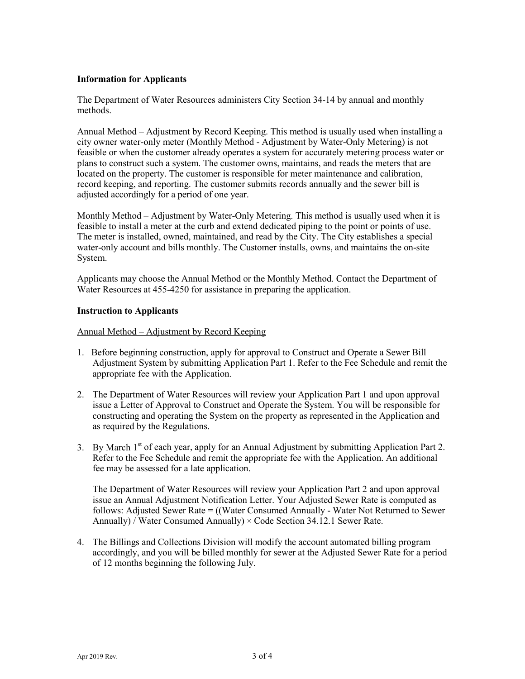#### **Information for Applicants**

The Department of Water Resources administers City Section 34-14 by annual and monthly methods.

Annual Method – Adjustment by Record Keeping. This method is usually used when installing a city owner water-only meter (Monthly Method - Adjustment by Water-Only Metering) is not feasible or when the customer already operates a system for accurately metering process water or plans to construct such a system. The customer owns, maintains, and reads the meters that are located on the property. The customer is responsible for meter maintenance and calibration, record keeping, and reporting. The customer submits records annually and the sewer bill is adjusted accordingly for a period of one year.

Monthly Method – Adjustment by Water-Only Metering. This method is usually used when it is feasible to install a meter at the curb and extend dedicated piping to the point or points of use. The meter is installed, owned, maintained, and read by the City. The City establishes a special water-only account and bills monthly. The Customer installs, owns, and maintains the on-site System.

Applicants may choose the Annual Method or the Monthly Method. Contact the Department of Water Resources at 455-4250 for assistance in preparing the application.

#### **Instruction to Applicants**

Annual Method – Adjustment by Record Keeping

- 1. Before beginning construction, apply for approval to Construct and Operate a Sewer Bill Adjustment System by submitting Application Part 1. Refer to the Fee Schedule and remit the appropriate fee with the Application.
- 2. The Department of Water Resources will review your Application Part 1 and upon approval issue a Letter of Approval to Construct and Operate the System. You will be responsible for constructing and operating the System on the property as represented in the Application and as required by the Regulations.
- 3. By March  $1<sup>st</sup>$  of each year, apply for an Annual Adjustment by submitting Application Part 2. Refer to the Fee Schedule and remit the appropriate fee with the Application. An additional fee may be assessed for a late application.

The Department of Water Resources will review your Application Part 2 and upon approval issue an Annual Adjustment Notification Letter. Your Adjusted Sewer Rate is computed as follows: Adjusted Sewer Rate = ((Water Consumed Annually - Water Not Returned to Sewer Annually) / Water Consumed Annually)  $\times$  Code Section 34.12.1 Sewer Rate.

4. The Billings and Collections Division will modify the account automated billing program accordingly, and you will be billed monthly for sewer at the Adjusted Sewer Rate for a period of 12 months beginning the following July.